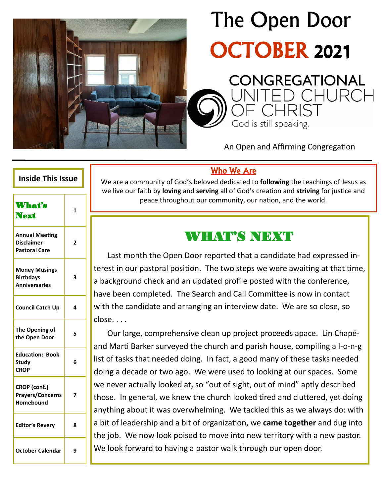

# The Open Door OCTOBER 2021

God is still speaking,

C**ONGREGATIONAL**<br>JNITED CHURCI

An Open and Affirming Congregation

#### Who We Are

We are a community of God's beloved dedicated to **following** the teachings of Jesus as we live our faith by **loving** and **serving** all of God's creation and **striving** for justice and peace throughout our community, our nation, and the world.

## WHAT'S NEXT

Last month the Open Door reported that a candidate had expressed interest in our pastoral position. The two steps we were awaiting at that time, a background check and an updated profile posted with the conference, have been completed. The Search and Call Committee is now in contact with the candidate and arranging an interview date. We are so close, so close. . . .

Our large, comprehensive clean up project proceeds apace. Lin Chapéand Marti Barker surveyed the church and parish house, compiling a l-o-n-g list of tasks that needed doing. In fact, a good many of these tasks needed doing a decade or two ago. We were used to looking at our spaces. Some we never actually looked at, so "out of sight, out of mind" aptly described those. In general, we knew the church looked tired and cluttered, yet doing anything about it was overwhelming. We tackled this as we always do: with a bit of leadership and a bit of organization, we **came together** and dug into the job. We now look poised to move into new territory with a new pastor. We look forward to having a pastor walk through our open door.

#### **Inside This Issue**

| <b>What's</b><br><b>Next</b>                                       | 1 |
|--------------------------------------------------------------------|---|
| <b>Annual Meeting</b><br><b>Disclaimer</b><br><b>Pastoral Care</b> | 2 |
| <b>Money Musings</b><br><b>Birthdays</b><br><b>Anniversaries</b>   | 3 |
| <b>Council Catch Up</b>                                            | 4 |
| The Opening of<br>the Open Door                                    | 5 |
| <b>Education: Book</b><br><b>Study</b><br><b>CROP</b>              | 6 |
| CROP (cont.)<br><b>Prayers/Concerns</b><br><b>Homebound</b>        | 7 |
| <b>Editor's Revery</b>                                             | 8 |
| <b>October Calendar</b>                                            | 9 |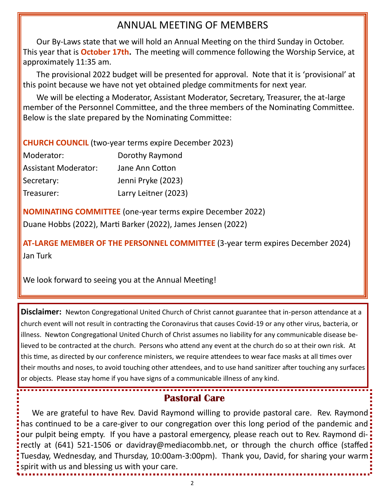## ANNUAL MEETING OF MEMBERS

Our By-Laws state that we will hold an Annual Meeting on the third Sunday in October. This year that is **October 17th.** The meeting will commence following the Worship Service, at approximately 11:35 am.

The provisional 2022 budget will be presented for approval. Note that it is 'provisional' at this point because we have not yet obtained pledge commitments for next year.

We will be electing a Moderator, Assistant Moderator, Secretary, Treasurer, the at-large member of the Personnel Committee, and the three members of the Nominating Committee. Below is the slate prepared by the Nominating Committee:

#### **CHURCH COUNCIL** (two-year terms expire December 2023)

| Moderator:                  | Dorothy Raymond      |
|-----------------------------|----------------------|
| <b>Assistant Moderator:</b> | Jane Ann Cotton      |
| Secretary:                  | Jenni Pryke (2023)   |
| Treasurer:                  | Larry Leitner (2023) |

**NOMINATING COMMITTEE** (one-year terms expire December 2022)

Duane Hobbs (2022), Marti Barker (2022), James Jensen (2022)

**AT-LARGE MEMBER OF THE PERSONNEL COMMITTEE** (3-year term expires December 2024) Jan Turk

We look forward to seeing you at the Annual Meeting!

**Disclaimer:** Newton Congregational United Church of Christ cannot guarantee that in-person attendance at a church event will not result in contracting the Coronavirus that causes Covid-19 or any other virus, bacteria, or illness. Newton Congregational United Church of Christ assumes no liability for any communicable disease believed to be contracted at the church. Persons who attend any event at the church do so at their own risk. At this time, as directed by our conference ministers, we require attendees to wear face masks at all times over their mouths and noses, to avoid touching other attendees, and to use hand sanitizer after touching any surfaces or objects. Please stay home if you have signs of a communicable illness of any kind.

#### **Pastoral Care**

We are grateful to have Rev. David Raymond willing to provide pastoral care. Rev. Raymond has continued to be a care-giver to our congregation over this long period of the pandemic and our pulpit being empty. If you have a pastoral emergency, please reach out to Rev. Raymond directly at (641) 521-1506 or davidray@mediacombb.net, or through the church office (staffed Tuesday, Wednesday, and Thursday, 10:00am-3:00pm). Thank you, David, for sharing your warm spirit with us and blessing us with your care.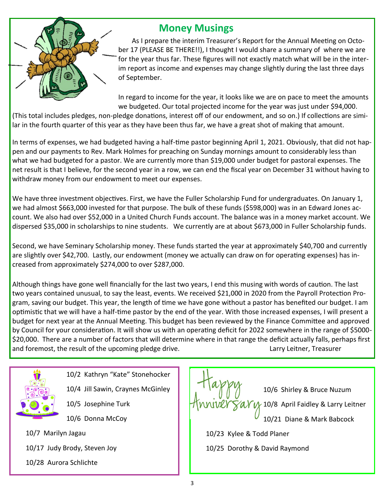

## **Money Musings**

As I prepare the interim Treasurer's Report for the Annual Meeting on October 17 (PLEASE BE THERE!!), I thought I would share a summary of where we are for the year thus far. These figures will not exactly match what will be in the interim report as income and expenses may change slightly during the last three days of September.

In regard to income for the year, it looks like we are on pace to meet the amounts we budgeted. Our total projected income for the year was just under \$94,000.

(This total includes pledges, non-pledge donations, interest off of our endowment, and so on.) If collections are similar in the fourth quarter of this year as they have been thus far, we have a great shot of making that amount.

In terms of expenses, we had budgeted having a half-time pastor beginning April 1, 2021. Obviously, that did not happen and our payments to Rev. Mark Holmes for preaching on Sunday mornings amount to considerably less than what we had budgeted for a pastor. We are currently more than \$19,000 under budget for pastoral expenses. The net result is that I believe, for the second year in a row, we can end the fiscal year on December 31 without having to withdraw money from our endowment to meet our expenses.

We have three investment objectives. First, we have the Fuller Scholarship Fund for undergraduates. On January 1, we had almost \$663,000 invested for that purpose. The bulk of these funds (\$598,000) was in an Edward Jones account. We also had over \$52,000 in a United Church Funds account. The balance was in a money market account. We dispersed \$35,000 in scholarships to nine students. We currently are at about \$673,000 in Fuller Scholarship funds.

Second, we have Seminary Scholarship money. These funds started the year at approximately \$40,700 and currently are slightly over \$42,700. Lastly, our endowment (money we actually can draw on for operating expenses) has increased from approximately \$274,000 to over \$287,000.

Although things have gone well financially for the last two years, I end this musing with words of caution. The last two years contained unusual, to say the least, events. We received \$21,000 in 2020 from the Payroll Protection Program, saving our budget. This year, the length of time we have gone without a pastor has benefited our budget. I am optimistic that we will have a half-time pastor by the end of the year. With those increased expenses, I will present a budget for next year at the Annual Meeting. This budget has been reviewed by the Finance Committee and approved by Council for your consideration. It will show us with an operating deficit for 2022 somewhere in the range of \$5000- \$20,000. There are a number of factors that will determine where in that range the deficit actually falls, perhaps first and foremost, the result of the upcoming pledge drive. The same state of the larry Leitner, Treasurer



10/2 Kathryn "Kate" Stonehocker

- 10/4 Jill Sawin, Craynes McGinley
- 10/5 Josephine Turk
- 10/6 Donna McCoy

10/7 Marilyn Jagau

- 10/17 Judy Brody, Steven Joy
- 10/28 Aurora Schlichte



10/25 Dorothy & David Raymond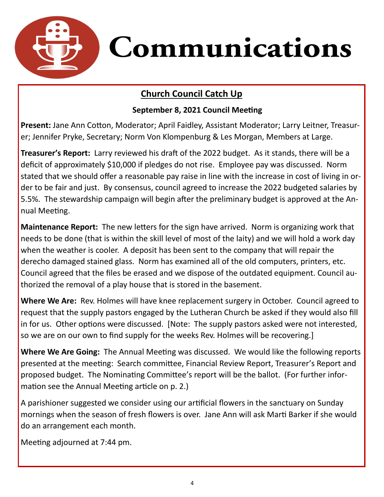

### **Church Council Catch Up**

#### **September 8, 2021 Council Meeting**

**Present:** Jane Ann Cotton, Moderator; April Faidley, Assistant Moderator; Larry Leitner, Treasurer; Jennifer Pryke, Secretary; Norm Von Klompenburg & Les Morgan, Members at Large.

**Treasurer's Report:** Larry reviewed his draft of the 2022 budget. As it stands, there will be a deficit of approximately \$10,000 if pledges do not rise. Employee pay was discussed. Norm stated that we should offer a reasonable pay raise in line with the increase in cost of living in order to be fair and just. By consensus, council agreed to increase the 2022 budgeted salaries by 5.5%. The stewardship campaign will begin after the preliminary budget is approved at the Annual Meeting.

**Maintenance Report:** The new letters for the sign have arrived. Norm is organizing work that needs to be done (that is within the skill level of most of the laity) and we will hold a work day when the weather is cooler. A deposit has been sent to the company that will repair the derecho damaged stained glass. Norm has examined all of the old computers, printers, etc. Council agreed that the files be erased and we dispose of the outdated equipment. Council authorized the removal of a play house that is stored in the basement.

**Where We Are:** Rev. Holmes will have knee replacement surgery in October. Council agreed to request that the supply pastors engaged by the Lutheran Church be asked if they would also fill in for us. Other options were discussed. [Note: The supply pastors asked were not interested, so we are on our own to find supply for the weeks Rev. Holmes will be recovering.]

**Where We Are Going:** The Annual Meeting was discussed. We would like the following reports presented at the meeting: Search committee, Financial Review Report, Treasurer's Report and proposed budget. The Nominating Committee's report will be the ballot. (For further information see the Annual Meeting article on p. 2.)

A parishioner suggested we consider using our artificial flowers in the sanctuary on Sunday mornings when the season of fresh flowers is over. Jane Ann will ask Marti Barker if she would do an arrangement each month.

Meeting adjourned at 7:44 pm.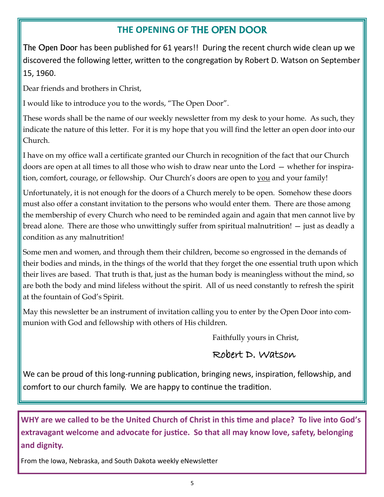## **THE OPENING OF** THE OPEN DOOR

The Open Door has been published for 61 years!! During the recent church wide clean up we discovered the following letter, written to the congregation by Robert D. Watson on September 15, 1960.

Dear friends and brothers in Christ,

I would like to introduce you to the words, "The Open Door".

These words shall be the name of our weekly newsletter from my desk to your home. As such, they indicate the nature of this letter. For it is my hope that you will find the letter an open door into our Church.

I have on my office wall a certificate granted our Church in recognition of the fact that our Church doors are open at all times to all those who wish to draw near unto the Lord — whether for inspiration, comfort, courage, or fellowship. Our Church's doors are open to you and your family!

Unfortunately, it is not enough for the doors of a Church merely to be open. Somehow these doors must also offer a constant invitation to the persons who would enter them. There are those among the membership of every Church who need to be reminded again and again that men cannot live by bread alone. There are those who unwittingly suffer from spiritual malnutrition! — just as deadly a condition as any malnutrition!

Some men and women, and through them their children, become so engrossed in the demands of their bodies and minds, in the things of the world that they forget the one essential truth upon which their lives are based. That truth is that, just as the human body is meaningless without the mind, so are both the body and mind lifeless without the spirit. All of us need constantly to refresh the spirit at the fountain of God's Spirit.

May this newsletter be an instrument of invitation calling you to enter by the Open Door into communion with God and fellowship with others of His children.

Faithfully yours in Christ,

#### Robert D. Watson

We can be proud of this long-running publication, bringing news, inspiration, fellowship, and comfort to our church family. We are happy to continue the tradition.

**WHY are we called to be the United Church of Christ in this time and place? To live into God's extravagant welcome and advocate for justice. So that all may know love, safety, belonging and dignity.** 

From the Iowa, Nebraska, and South Dakota weekly eNewsletter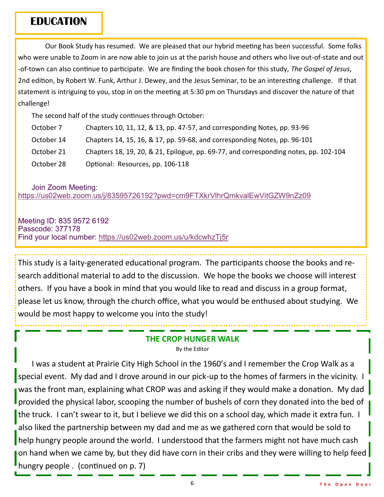#### **EDUCATION**

Our Book Study has resumed. We are pleased that our hybrid meeting has been successful. Some folks who were unable to Zoom in are now able to join us at the parish house and others who live out-of-state and out -of-town can also continue to participate. We are finding the book chosen for this study, *The Gospel of Jesus*, 2nd edition, by Robert W. Funk, Arthur J. Dewey, and the Jesus Seminar, to be an interesting challenge. If that statement is intriguing to you, stop in on the meeting at 5:30 pm on Thursdays and discover the nature of that challenge!

The second half of the study continues through October:

| October 7  | Chapters 10, 11, 12, & 13, pp. 47-57, and corresponding Notes, pp. 93-96             |
|------------|--------------------------------------------------------------------------------------|
| October 14 | Chapters 14, 15, 16, & 17, pp. 59-68, and corresponding Notes, pp. 96-101            |
| October 21 | Chapters 18, 19, 20, & 21, Epilogue, pp. 69-77, and corresponding notes, pp. 102-104 |
| October 28 | Optional: Resources, pp. 106-118                                                     |

Join Zoom Meeting:

<https://us02web.zoom.us/j/83595726192?pwd=cm9FTXkrVlhrQmkvalEwVitGZW9nZz09>

Meeting ID: 835 9572 6192 Passcode: 377178 Find your local number: <https://us02web.zoom.us/u/kdcwhzTj5r>

This study is a laity-generated educational program. The participants choose the books and research additional material to add to the discussion. We hope the books we choose will interest others. If you have a book in mind that you would like to read and discuss in a group format, please let us know, through the church office, what you would be enthused about studying. We would be most happy to welcome you into the study!

#### **THE CROP HUNGER WALK**

By the Editor

I was a student at Prairie City High School in the 1960's and I remember the Crop Walk as a special event. My dad and I drove around in our pick-up to the homes of farmers in the vicinity. I was the front man, explaining what CROP was and asking if they would make a donation. My dad provided the physical labor, scooping the number of bushels of corn they donated into the bed of the truck. I can't swear to it, but I believe we did this on a school day, which made it extra fun. I also liked the partnership between my dad and me as we gathered corn that would be sold to help hungry people around the world. I understood that the farmers might not have much cash on hand when we came by, but they did have corn in their cribs and they were willing to help feed hungry people . (continued on p. 7)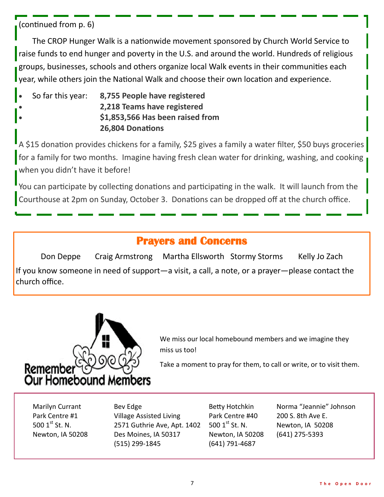```
(continued from p. 6)
```
The CROP Hunger Walk is a nationwide movement sponsored by Church World Service to raise funds to end hunger and poverty in the U.S. and around the world. Hundreds of religious groups, businesses, schools and others organize local Walk events in their communities each year, while others join the National Walk and choose their own location and experience.

• So far this year: **8,755 People have registered** • **2,218 Teams have registered** • **\$1,853,566 Has been raised from 26,804 Donations**

A \$15 donation provides chickens for a family, \$25 gives a family a water filter, \$50 buys groceries for a family for two months. Imagine having fresh clean water for drinking, washing, and cooking when you didn't have it before!

You can participate by collecting donations and participating in the walk. It will launch from the Courthouse at 2pm on Sunday, October 3. Donations can be dropped off at the church office.

## **Prayers and Concerns**

Don Deppe Craig Armstrong Martha Ellsworth Stormy Storms Kelly Jo Zach If you know someone in need of support—a visit, a call, a note, or a prayer—please contact the church office.



We miss our local homebound members and we imagine they miss us too!

Take a moment to pray for them, to call or write, or to visit them.

Marilyn Currant Bev Edge Betty Hotchkin Norma "Jeannie" Johnson Park Centre #1 Village Assisted Living Park Centre #40 200 S. 8th Ave E. 500  $1^{st}$  St. N. 2571 Guthrie Ave, Apt. 1402 500  $1^{st}$  St. N. Newton, IA 50208 Newton, IA 50208 Des Moines, IA 50317 Newton, IA 50208 (641) 275-5393 (515) 299-1845 (641) 791-4687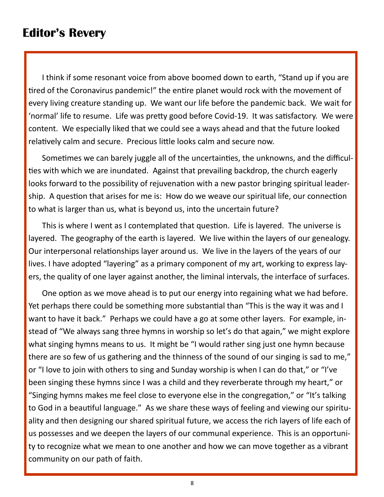## **Editor's Revery**

I think if some resonant voice from above boomed down to earth, "Stand up if you are tired of the Coronavirus pandemic!" the entire planet would rock with the movement of every living creature standing up. We want our life before the pandemic back. We wait for 'normal' life to resume. Life was pretty good before Covid-19. It was satisfactory. We were content. We especially liked that we could see a ways ahead and that the future looked relatively calm and secure. Precious little looks calm and secure now.

Sometimes we can barely juggle all of the uncertainties, the unknowns, and the difficulties with which we are inundated. Against that prevailing backdrop, the church eagerly looks forward to the possibility of rejuvenation with a new pastor bringing spiritual leadership. A question that arises for me is: How do we weave our spiritual life, our connection to what is larger than us, what is beyond us, into the uncertain future?

This is where I went as I contemplated that question. Life is layered. The universe is layered. The geography of the earth is layered. We live within the layers of our genealogy. Our interpersonal relationships layer around us. We live in the layers of the years of our lives. I have adopted "layering" as a primary component of my art, working to express layers, the quality of one layer against another, the liminal intervals, the interface of surfaces.

One option as we move ahead is to put our energy into regaining what we had before. Yet perhaps there could be something more substantial than "This is the way it was and I want to have it back." Perhaps we could have a go at some other layers. For example, instead of "We always sang three hymns in worship so let's do that again," we might explore what singing hymns means to us. It might be "I would rather sing just one hymn because there are so few of us gathering and the thinness of the sound of our singing is sad to me," or "I love to join with others to sing and Sunday worship is when I can do that," or "I've been singing these hymns since I was a child and they reverberate through my heart," or "Singing hymns makes me feel close to everyone else in the congregation," or "It's talking to God in a beautiful language." As we share these ways of feeling and viewing our spirituality and then designing our shared spiritual future, we access the rich layers of life each of us possesses and we deepen the layers of our communal experience. This is an opportunity to recognize what we mean to one another and how we can move together as a vibrant community on our path of faith.

8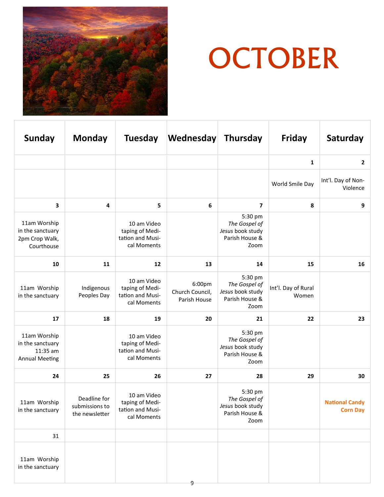

## **November** OCTOBER

| <b>Sunday</b>                                                         | <b>Monday</b>                                    | <b>Tuesday</b>                                                    | <b>Wednesday</b>                          | <b>Thursday</b>                                                        | Friday                       | Saturday                                 |
|-----------------------------------------------------------------------|--------------------------------------------------|-------------------------------------------------------------------|-------------------------------------------|------------------------------------------------------------------------|------------------------------|------------------------------------------|
|                                                                       |                                                  |                                                                   |                                           |                                                                        | 1                            | $\overline{2}$                           |
|                                                                       |                                                  |                                                                   |                                           |                                                                        | World Smile Day              | Int'l. Day of Non-<br>Violence           |
| $\mathbf{3}$                                                          | 4                                                | 5                                                                 | 6                                         | 7                                                                      | 8                            | 9                                        |
| 11am Worship<br>in the sanctuary<br>2pm Crop Walk,<br>Courthouse      |                                                  | 10 am Video<br>taping of Medi-<br>tation and Musi-<br>cal Moments |                                           | 5:30 pm<br>The Gospel of<br>Jesus book study<br>Parish House &<br>Zoom |                              |                                          |
| 10                                                                    | 11                                               | 12                                                                | 13                                        | 14                                                                     | 15                           | 16                                       |
| 11am Worship<br>in the sanctuary                                      | Indigenous<br>Peoples Day                        | 10 am Video<br>taping of Medi-<br>tation and Musi-<br>cal Moments | 6:00pm<br>Church Council,<br>Parish House | 5:30 pm<br>The Gospel of<br>Jesus book study<br>Parish House &<br>Zoom | Int'l. Day of Rural<br>Women |                                          |
| 17                                                                    | 18                                               | 19                                                                | 20                                        | 21                                                                     | 22                           | 23                                       |
| 11am Worship<br>in the sanctuary<br>11:35 am<br><b>Annual Meeting</b> |                                                  | 10 am Video<br>taping of Medi-<br>tation and Musi-<br>cal Moments |                                           | 5:30 pm<br>The Gospel of<br>Jesus book study<br>Parish House &<br>Zoom |                              |                                          |
| 24                                                                    | 25                                               | 26                                                                | 27                                        | 28                                                                     | 29                           | 30                                       |
| 11am Worship<br>in the sanctuary                                      | Deadline for<br>submissions to<br>the newsletter | 10 am Video<br>taping of Medi-<br>tation and Musi-<br>cal Moments |                                           | 5:30 pm<br>The Gospel of<br>Jesus book study<br>Parish House &<br>Zoom |                              | <b>National Candy</b><br><b>Corn Day</b> |
| 31                                                                    |                                                  |                                                                   |                                           |                                                                        |                              |                                          |
| 11am Worship<br>in the sanctuary                                      |                                                  |                                                                   |                                           |                                                                        |                              |                                          |

9